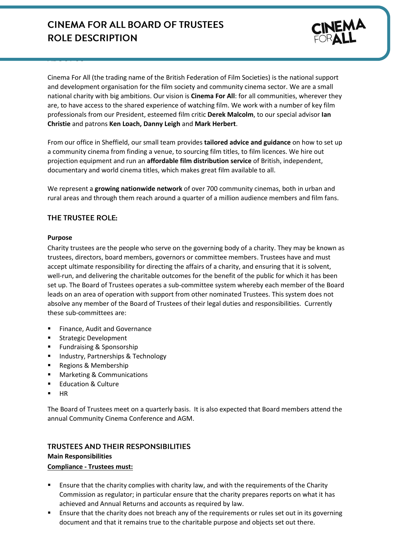# **CINEMA FOR ALL BOARD OF TRUSTEES ROLE DESCRIPTION**



Cinema For All (the trading name of the British Federation of Film Societies) is the national support and development organisation for the film society and community cinema sector. We are a small national charity with big ambitions. Our vision is **Cinema For All**: for all communities, wherever they are, to have access to the shared experience of watching film. We work with a number of key film professionals from our President, esteemed film critic **Derek Malcolm**, to our special advisor **Ian Christie** and patrons **Ken Loach, Danny Leigh** and **Mark Herbert**.

From our office in Sheffield, our small team provides **tailored advice and guidance** on how to set up a community cinema from finding a venue, to sourcing film titles, to film licences. We hire out projection equipment and run an **affordable film distribution service** of British, independent, documentary and world cinema titles, which makes great film available to all.

We represent a **growing nationwide network** of over 700 community cinemas, both in urban and rural areas and through them reach around a quarter of a million audience members and film fans.

## THE TRUSTEE ROLE:

#### **Purpose**

Charity trustees are the people who serve on the governing body of a charity. They may be known as trustees, directors, board members, governors or committee members. Trustees have and must accept ultimate responsibility for directing the affairs of a charity, and ensuring that it is solvent, well-run, and delivering the charitable outcomes for the benefit of the public for which it has been set up. The Board of Trustees operates a sub-committee system whereby each member of the Board leads on an area of operation with support from other nominated Trustees. This system does not absolve any member of the Board of Trustees of their legal duties and responsibilities. Currently these sub-committees are:

- Finance, Audit and Governance
- **Strategic Development**
- **Fundraising & Sponsorship**
- **Industry, Partnerships & Technology**
- Regions & Membership
- **Marketing & Communications**
- **Education & Culture**
- HR

The Board of Trustees meet on a quarterly basis. It is also expected that Board members attend the annual Community Cinema Conference and AGM.

# **TRUSTEES AND THEIR RESPONSIBILITIES**

#### **Main Responsibilities Compliance - Trustees must:**

- Ensure that the charity complies with charity law, and with the requirements of the Charity Commission as regulator; in particular ensure that the charity prepares reports on what it has achieved and Annual Returns and accounts as required by law.
- Ensure that the charity does not breach any of the requirements or rules set out in its governing document and that it remains true to the charitable purpose and objects set out there.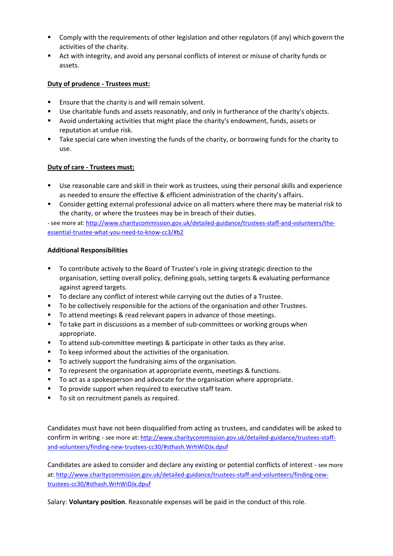- Comply with the requirements of other legislation and other regulators (if any) which govern the activities of the charity.
- Act with integrity, and avoid any personal conflicts of interest or misuse of charity funds or assets.

# **Duty of prudence - Trustees must:**

- **Ensure that the charity is and will remain solvent.**
- **Use charitable funds and assets reasonably, and only in furtherance of the charity's objects.**
- Avoid undertaking activities that might place the charity's endowment, funds, assets or reputation at undue risk.
- Take special care when investing the funds of the charity, or borrowing funds for the charity to use.

## **Duty of care - Trustees must:**

- Use reasonable care and skill in their work as trustees, using their personal skills and experience as needed to ensure the effective & efficient administration of the charity's affairs.
- Consider getting external professional advice on all matters where there may be material risk to the charity, or where the trustees may be in breach of their duties.

- see more at[: http://www.charitycommission.gov.uk/detailed-guidance/trustees-staff-and-volunteers/the](http://www.charitycommission.gov.uk/detailed-guidance/trustees-staff-and-volunteers/the-essential-trustee-what-you-need-to-know-cc3/#b2)[essential-trustee-what-you-need-to-know-cc3/#b2](http://www.charitycommission.gov.uk/detailed-guidance/trustees-staff-and-volunteers/the-essential-trustee-what-you-need-to-know-cc3/#b2)

#### **Additional Responsibilities**

- To contribute actively to the Board of Trustee's role in giving strategic direction to the organisation, setting overall policy, defining goals, setting targets & evaluating performance against agreed targets.
- To declare any conflict of interest while carrying out the duties of a Trustee.
- To be collectively responsible for the actions of the organisation and other Trustees.
- To attend meetings & read relevant papers in advance of those meetings.
- To take part in discussions as a member of sub-committees or working groups when appropriate.
- To attend sub-committee meetings & participate in other tasks as they arise.
- To keep informed about the activities of the organisation.
- To actively support the fundraising aims of the organisation.
- **The Fourier 1** To represent the organisation at appropriate events, meetings & functions.
- To act as a spokesperson and advocate for the organisation where appropriate.
- **To provide support when required to executive staff team.**
- To sit on recruitment panels as required.

Candidates must have not been disqualified from acting as trustees, and candidates will be asked to confirm in writing - see more at: [http://www.charitycommission.gov.uk/detailed-guidance/trustees-staff](http://www.charitycommission.gov.uk/detailed-guidance/trustees-staff-and-volunteers/finding-new-trustees-cc30/#sthash.WrhWiDJx.dpuf)[and-volunteers/finding-new-trustees-cc30/#sthash.WrhWiDJx.dpuf](http://www.charitycommission.gov.uk/detailed-guidance/trustees-staff-and-volunteers/finding-new-trustees-cc30/#sthash.WrhWiDJx.dpuf)

Candidates are asked to consider and declare any existing or potential conflicts of interest - see more at: [http://www.charitycommission.gov.uk/detailed-guidance/trustees-staff-and-volunteers/finding-new](http://www.charitycommission.gov.uk/detailed-guidance/trustees-staff-and-volunteers/finding-new-trustees-cc30/#sthash.WrhWiDJx.dpuf)[trustees-cc30/#sthash.WrhWiDJx.dpuf](http://www.charitycommission.gov.uk/detailed-guidance/trustees-staff-and-volunteers/finding-new-trustees-cc30/#sthash.WrhWiDJx.dpuf)

Salary: **Voluntary position**. Reasonable expenses will be paid in the conduct of this role.